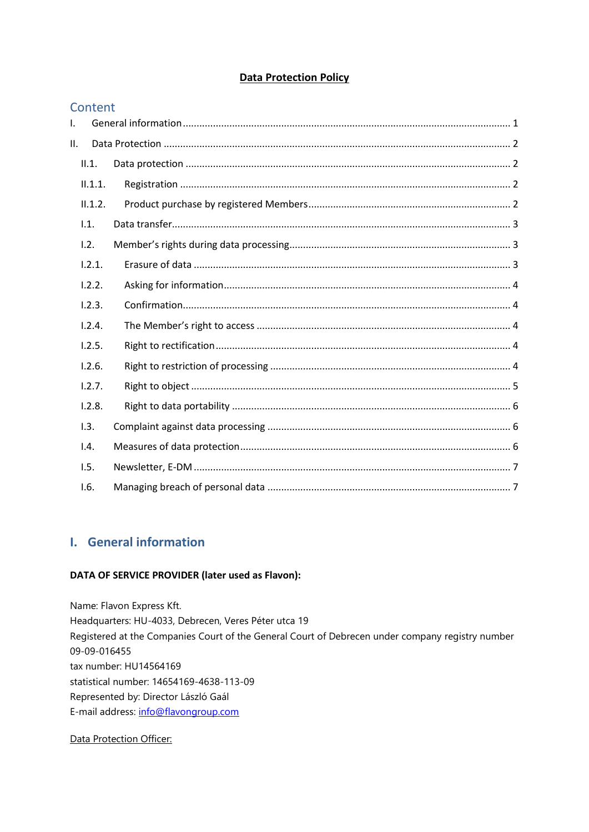## **Data Protection Policy**

### Content

| Τ.  |         |  |  |  |  |  |
|-----|---------|--|--|--|--|--|
| II. |         |  |  |  |  |  |
|     | II.1.   |  |  |  |  |  |
|     | II.1.1. |  |  |  |  |  |
|     | II.1.2. |  |  |  |  |  |
|     | 1.1.    |  |  |  |  |  |
|     | 1.2.    |  |  |  |  |  |
|     | 1.2.1.  |  |  |  |  |  |
|     | 1.2.2.  |  |  |  |  |  |
|     | 1.2.3.  |  |  |  |  |  |
|     | 1.2.4.  |  |  |  |  |  |
|     | 1.2.5.  |  |  |  |  |  |
|     | 1.2.6.  |  |  |  |  |  |
|     | 1.2.7.  |  |  |  |  |  |
|     | 1.2.8.  |  |  |  |  |  |
|     | 1.3.    |  |  |  |  |  |
|     | 1.4.    |  |  |  |  |  |
|     | 1.5.    |  |  |  |  |  |
|     | 1.6.    |  |  |  |  |  |

# <span id="page-0-0"></span>I. General information

### DATA OF SERVICE PROVIDER (later used as Flavon):

Name: Flavon Express Kft. Headquarters: HU-4033, Debrecen, Veres Péter utca 19 Registered at the Companies Court of the General Court of Debrecen under company registry number 09-09-016455 tax number: HU14564169 statistical number: 14654169-4638-113-09 Represented by: Director László Gaál E-mail address: info@flavongroup.com

### Data Protection Officer: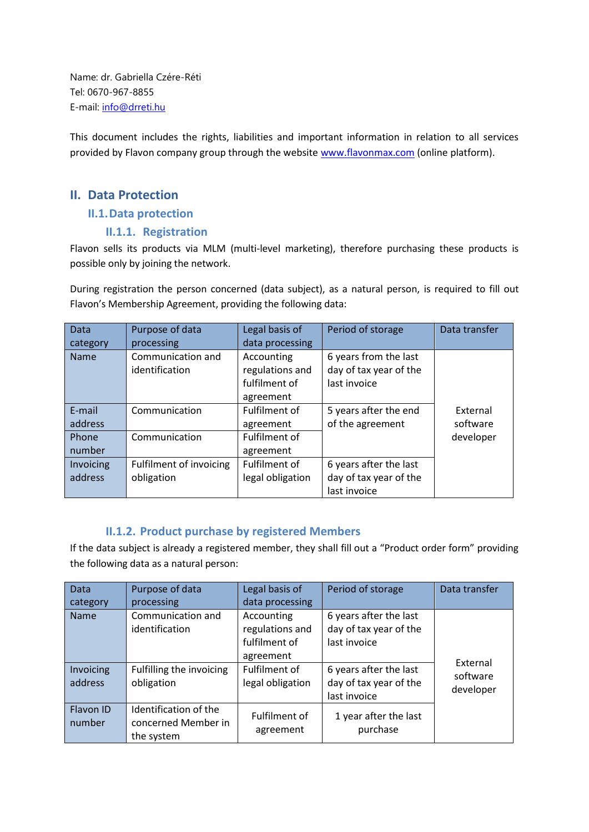Name: dr. Gabriella Czére-Réti Tel: 0670-967-8855 E-mail: [info@drreti.hu](mailto:info@drreti.hu)

This document includes the rights, liabilities and important information in relation to all services provided by Flavon company group through the website [www.flavonmax.com](http://www.flavonmax.com/) (online platform).

## <span id="page-1-1"></span><span id="page-1-0"></span>**II. Data Protection**

### **II.1.Data protection**

### <span id="page-1-2"></span>**II.1.1. Registration**

Flavon sells its products via MLM (multi-level marketing), therefore purchasing these products is possible only by joining the network.

During registration the person concerned (data subject), as a natural person, is required to fill out Flavon's Membership Agreement, providing the following data:

| Data        | Purpose of data                | Legal basis of   | Period of storage      | Data transfer |
|-------------|--------------------------------|------------------|------------------------|---------------|
| category    | processing                     | data processing  |                        |               |
| <b>Name</b> | Communication and              | Accounting       | 6 years from the last  |               |
|             | identification                 | regulations and  | day of tax year of the |               |
|             |                                | fulfilment of    | last invoice           |               |
|             |                                | agreement        |                        |               |
| E-mail      | Communication                  | Fulfilment of    | 5 years after the end  | External      |
| address     |                                | agreement        | of the agreement       | software      |
| Phone       | Communication                  | Fulfilment of    |                        | developer     |
| number      |                                | agreement        |                        |               |
| Invoicing   | <b>Fulfilment of invoicing</b> | Fulfilment of    | 6 years after the last |               |
| address     | obligation                     | legal obligation | day of tax year of the |               |
|             |                                |                  | last invoice           |               |

## **II.1.2. Product purchase by registered Members**

<span id="page-1-3"></span>If the data subject is already a registered member, they shall fill out a "Product order form" providing the following data as a natural person:

| Data<br>category             | Purpose of data<br>processing                                                 | Legal basis of<br>data processing                                                                | Period of storage                                                                                                    | Data transfer                     |
|------------------------------|-------------------------------------------------------------------------------|--------------------------------------------------------------------------------------------------|----------------------------------------------------------------------------------------------------------------------|-----------------------------------|
| Name<br>Invoicing<br>address | Communication and<br>identification<br>Fulfilling the invoicing<br>obligation | Accounting<br>regulations and<br>fulfilment of<br>agreement<br>Fulfilment of<br>legal obligation | 6 years after the last<br>day of tax year of the<br>last invoice<br>6 years after the last<br>day of tax year of the | External<br>software<br>developer |
| Flavon ID<br>number          | Identification of the<br>concerned Member in<br>the system                    | Fulfilment of<br>agreement                                                                       | last invoice<br>1 year after the last<br>purchase                                                                    |                                   |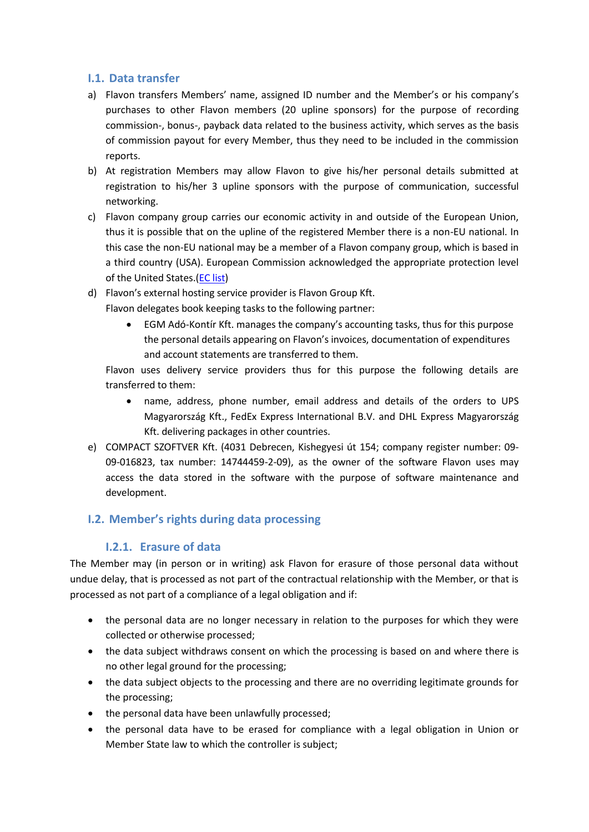## <span id="page-2-0"></span>**I.1. Data transfer**

- a) Flavon transfers Members' name, assigned ID number and the Member's or his company's purchases to other Flavon members (20 upline sponsors) for the purpose of recording commission-, bonus-, payback data related to the business activity, which serves as the basis of commission payout for every Member, thus they need to be included in the commission reports.
- b) At registration Members may allow Flavon to give his/her personal details submitted at registration to his/her 3 upline sponsors with the purpose of communication, successful networking.
- c) Flavon company group carries our economic activity in and outside of the European Union, thus it is possible that on the upline of the registered Member there is a non-EU national. In this case the non-EU national may be a member of a Flavon company group, which is based in a third country (USA). European Commission acknowledged the appropriate protection level of the United States.[\(EC list\)](https://ec.europa.eu/info/law/law-topic/data-protection/data-transfers-outside-eu/adequacy-protection-personal-data-non-eu-countries_en)
- d) Flavon's external hosting service provider is Flavon Group Kft.
	- Flavon delegates book keeping tasks to the following partner:
		- EGM Adó-Kontír Kft. manages the company's accounting tasks, thus for this purpose the personal details appearing on Flavon's invoices, documentation of expenditures and account statements are transferred to them.

Flavon uses delivery service providers thus for this purpose the following details are transferred to them:

- name, address, phone number, email address and details of the orders to UPS Magyarország Kft., FedEx Express International B.V. and DHL Express Magyarország Kft. delivering packages in other countries.
- e) COMPACT SZOFTVER Kft. (4031 Debrecen, Kishegyesi út 154; company register number: 09- 09-016823, tax number: 14744459-2-09), as the owner of the software Flavon uses may access the data stored in the software with the purpose of software maintenance and development.

## <span id="page-2-2"></span><span id="page-2-1"></span>**I.2. Member's rights during data processing**

## **I.2.1. Erasure of data**

The Member may (in person or in writing) ask Flavon for erasure of those personal data without undue delay, that is processed as not part of the contractual relationship with the Member, or that is processed as not part of a compliance of a legal obligation and if:

- the personal data are no longer necessary in relation to the purposes for which they were collected or otherwise processed;
- the data subject withdraws consent on which the processing is based on and where there is no other legal ground for the processing;
- the data subject objects to the processing and there are no overriding legitimate grounds for the processing;
- the personal data have been unlawfully processed;
- the personal data have to be erased for compliance with a legal obligation in Union or Member State law to which the controller is subject;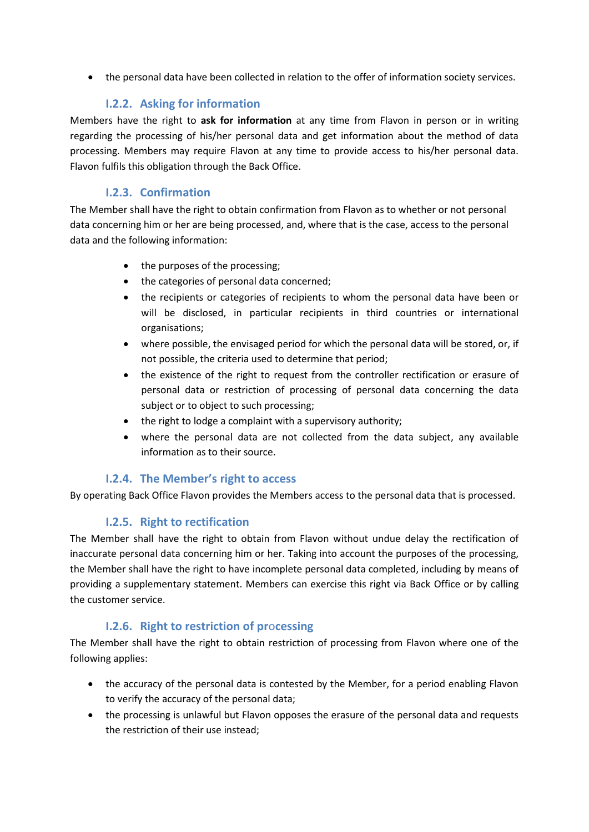the personal data have been collected in relation to the offer of information society services.

## **I.2.2. Asking for information**

<span id="page-3-0"></span>Members have the right to **ask for information** at any time from Flavon in person or in writing regarding the processing of his/her personal data and get information about the method of data processing. Members may require Flavon at any time to provide access to his/her personal data. Flavon fulfils this obligation through the Back Office.

## **I.2.3. Confirmation**

<span id="page-3-1"></span>The Member shall have the right to obtain confirmation from Flavon as to whether or not personal data concerning him or her are being processed, and, where that is the case, access to the personal data and the following information:

- the purposes of the processing:
- the categories of personal data concerned;
- the recipients or categories of recipients to whom the personal data have been or will be disclosed, in particular recipients in third countries or international organisations;
- where possible, the envisaged period for which the personal data will be stored, or, if not possible, the criteria used to determine that period;
- the existence of the right to request from the controller rectification or erasure of personal data or restriction of processing of personal data concerning the data subject or to object to such processing;
- the right to lodge a complaint with a supervisory authority;
- where the personal data are not collected from the data subject, any available information as to their source.

## **I.2.4. The Member's right to access**

<span id="page-3-2"></span>By operating Back Office Flavon provides the Members access to the personal data that is processed.

## **I.2.5. Right to rectification**

<span id="page-3-3"></span>The Member shall have the right to obtain from Flavon without undue delay the rectification of inaccurate personal data concerning him or her. Taking into account the purposes of the processing, the Member shall have the right to have incomplete personal data completed, including by means of providing a supplementary statement. Members can exercise this right via Back Office or by calling the customer service.

## **I.2.6. Right to restriction of pr**o**cessing**

<span id="page-3-4"></span>The Member shall have the right to obtain restriction of processing from Flavon where one of the following applies:

- the accuracy of the personal data is contested by the Member, for a period enabling Flavon to verify the accuracy of the personal data;
- the processing is unlawful but Flavon opposes the erasure of the personal data and requests the restriction of their use instead;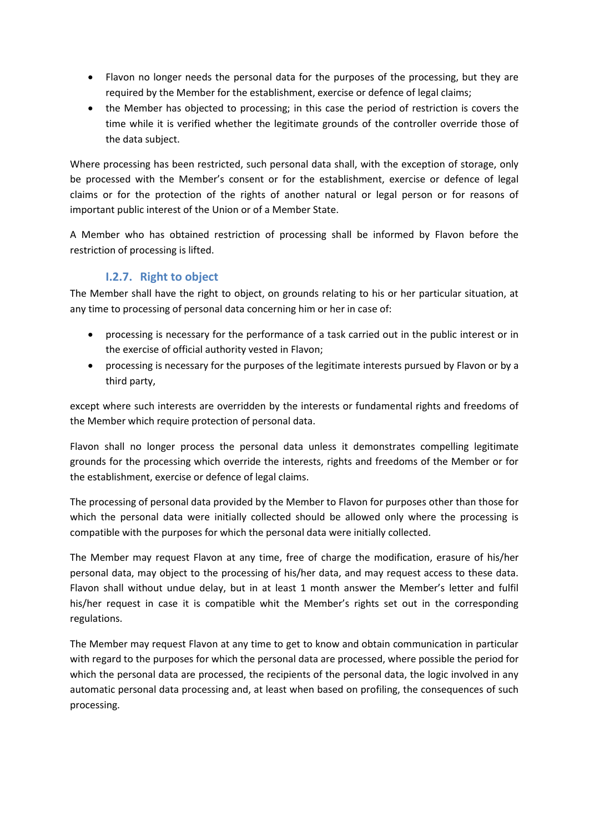- Flavon no longer needs the personal data for the purposes of the processing, but they are required by the Member for the establishment, exercise or defence of legal claims;
- the Member has objected to processing; in this case the period of restriction is covers the time while it is verified whether the legitimate grounds of the controller override those of the data subject.

Where processing has been restricted, such personal data shall, with the exception of storage, only be processed with the Member's consent or for the establishment, exercise or defence of legal claims or for the protection of the rights of another natural or legal person or for reasons of important public interest of the Union or of a Member State.

A Member who has obtained restriction of processing shall be informed by Flavon before the restriction of processing is lifted.

## **I.2.7. Right to object**

<span id="page-4-0"></span>The Member shall have the right to object, on grounds relating to his or her particular situation, at any time to processing of personal data concerning him or her in case of:

- processing is necessary for the performance of a task carried out in the public interest or in the exercise of official authority vested in Flavon;
- processing is necessary for the purposes of the legitimate interests pursued by Flavon or by a third party,

except where such interests are overridden by the interests or fundamental rights and freedoms of the Member which require protection of personal data.

Flavon shall no longer process the personal data unless it demonstrates compelling legitimate grounds for the processing which override the interests, rights and freedoms of the Member or for the establishment, exercise or defence of legal claims.

The processing of personal data provided by the Member to Flavon for purposes other than those for which the personal data were initially collected should be allowed only where the processing is compatible with the purposes for which the personal data were initially collected.

The Member may request Flavon at any time, free of charge the modification, erasure of his/her personal data, may object to the processing of his/her data, and may request access to these data. Flavon shall without undue delay, but in at least 1 month answer the Member's letter and fulfil his/her request in case it is compatible whit the Member's rights set out in the corresponding regulations.

The Member may request Flavon at any time to get to know and obtain communication in particular with regard to the purposes for which the personal data are processed, where possible the period for which the personal data are processed, the recipients of the personal data, the logic involved in any automatic personal data processing and, at least when based on profiling, the consequences of such processing.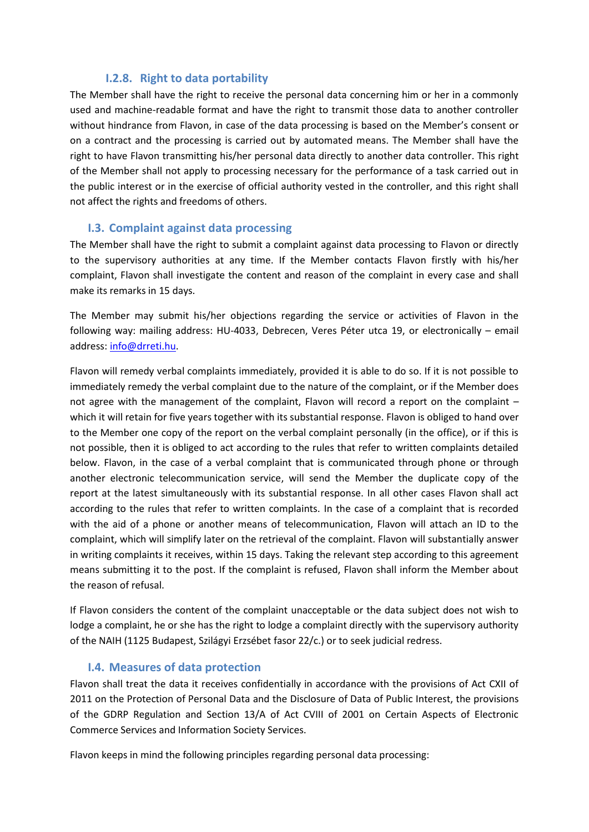## **I.2.8. Right to data portability**

<span id="page-5-0"></span>The Member shall have the right to receive the personal data concerning him or her in a commonly used and machine-readable format and have the right to transmit those data to another controller without hindrance from Flavon, in case of the data processing is based on the Member's consent or on a contract and the processing is carried out by automated means. The Member shall have the right to have Flavon transmitting his/her personal data directly to another data controller. This right of the Member shall not apply to processing necessary for the performance of a task carried out in the public interest or in the exercise of official authority vested in the controller, and this right shall not affect the rights and freedoms of others.

### **I.3. Complaint against data processing**

<span id="page-5-1"></span>The Member shall have the right to submit a complaint against data processing to Flavon or directly to the supervisory authorities at any time. If the Member contacts Flavon firstly with his/her complaint, Flavon shall investigate the content and reason of the complaint in every case and shall make its remarks in 15 days.

The Member may submit his/her objections regarding the service or activities of Flavon in the following way: mailing address: HU-4033, Debrecen, Veres Péter utca 19, or electronically – email address: [info@drreti.hu.](mailto:info@drreti.hu)

Flavon will remedy verbal complaints immediately, provided it is able to do so. If it is not possible to immediately remedy the verbal complaint due to the nature of the complaint, or if the Member does not agree with the management of the complaint, Flavon will record a report on the complaint – which it will retain for five years together with its substantial response. Flavon is obliged to hand over to the Member one copy of the report on the verbal complaint personally (in the office), or if this is not possible, then it is obliged to act according to the rules that refer to written complaints detailed below. Flavon, in the case of a verbal complaint that is communicated through phone or through another electronic telecommunication service, will send the Member the duplicate copy of the report at the latest simultaneously with its substantial response. In all other cases Flavon shall act according to the rules that refer to written complaints. In the case of a complaint that is recorded with the aid of a phone or another means of telecommunication, Flavon will attach an ID to the complaint, which will simplify later on the retrieval of the complaint. Flavon will substantially answer in writing complaints it receives, within 15 days. Taking the relevant step according to this agreement means submitting it to the post. If the complaint is refused, Flavon shall inform the Member about the reason of refusal.

If Flavon considers the content of the complaint unacceptable or the data subject does not wish to lodge a complaint, he or she has the right to lodge a complaint directly with the supervisory authority of the NAIH (1125 Budapest, Szilágyi Erzsébet fasor 22/c.) or to seek judicial redress.

## **I.4. Measures of data protection**

<span id="page-5-2"></span>Flavon shall treat the data it receives confidentially in accordance with the provisions of Act CXII of 2011 on the Protection of Personal Data and the Disclosure of Data of Public Interest, the provisions of the GDRP Regulation and Section 13/A of Act CVIII of 2001 on Certain Aspects of Electronic Commerce Services and Information Society Services.

Flavon keeps in mind the following principles regarding personal data processing: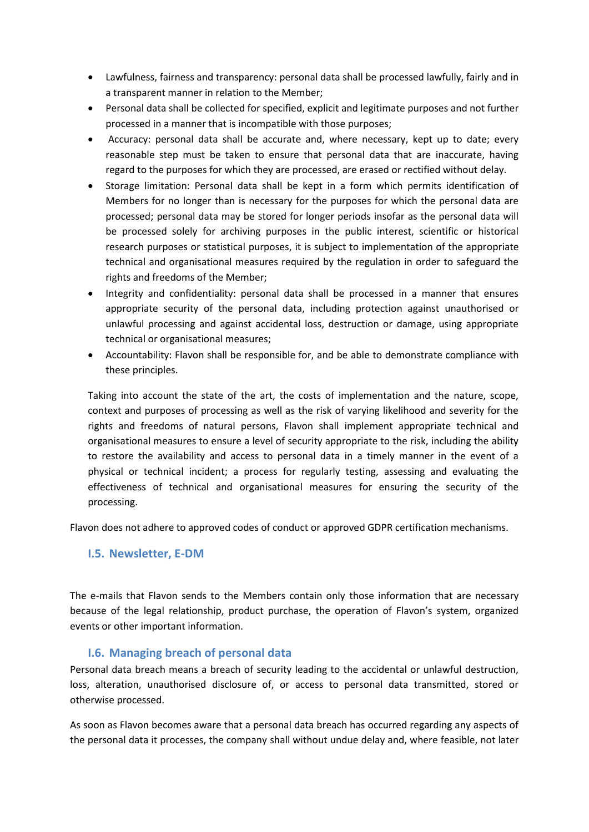- Lawfulness, fairness and transparency: personal data shall be processed lawfully, fairly and in a transparent manner in relation to the Member;
- Personal data shall be collected for specified, explicit and legitimate purposes and not further processed in a manner that is incompatible with those purposes;
- Accuracy: personal data shall be accurate and, where necessary, kept up to date; every reasonable step must be taken to ensure that personal data that are inaccurate, having regard to the purposes for which they are processed, are erased or rectified without delay.
- Storage limitation: Personal data shall be kept in a form which permits identification of Members for no longer than is necessary for the purposes for which the personal data are processed; personal data may be stored for longer periods insofar as the personal data will be processed solely for archiving purposes in the public interest, scientific or historical research purposes or statistical purposes, it is subject to implementation of the appropriate technical and organisational measures required by the regulation in order to safeguard the rights and freedoms of the Member;
- Integrity and confidentiality: personal data shall be processed in a manner that ensures appropriate security of the personal data, including protection against unauthorised or unlawful processing and against accidental loss, destruction or damage, using appropriate technical or organisational measures;
- Accountability: Flavon shall be responsible for, and be able to demonstrate compliance with these principles.

Taking into account the state of the art, the costs of implementation and the nature, scope, context and purposes of processing as well as the risk of varying likelihood and severity for the rights and freedoms of natural persons, Flavon shall implement appropriate technical and organisational measures to ensure a level of security appropriate to the risk, including the ability to restore the availability and access to personal data in a timely manner in the event of a physical or technical incident; a process for regularly testing, assessing and evaluating the effectiveness of technical and organisational measures for ensuring the security of the processing.

Flavon does not adhere to approved codes of conduct or approved GDPR certification mechanisms.

### <span id="page-6-0"></span>**I.5. Newsletter, E-DM**

The e-mails that Flavon sends to the Members contain only those information that are necessary because of the legal relationship, product purchase, the operation of Flavon's system, organized events or other important information.

### **I.6. Managing breach of personal data**

<span id="page-6-1"></span>Personal data breach means a breach of security leading to the accidental or unlawful destruction, loss, alteration, unauthorised disclosure of, or access to personal data transmitted, stored or otherwise processed.

As soon as Flavon becomes aware that a personal data breach has occurred regarding any aspects of the personal data it processes, the company shall without undue delay and, where feasible, not later